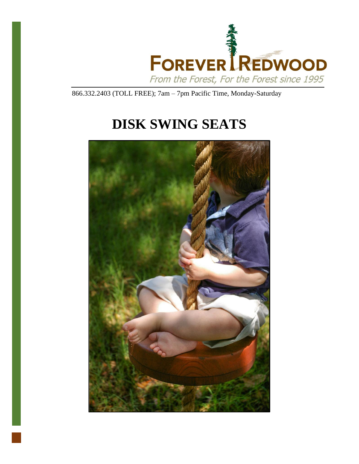

866.332.2403 (TOLL FREE); 7am – 7pm Pacific Time, Monday-Saturday

# **DISK SWING SEATS**

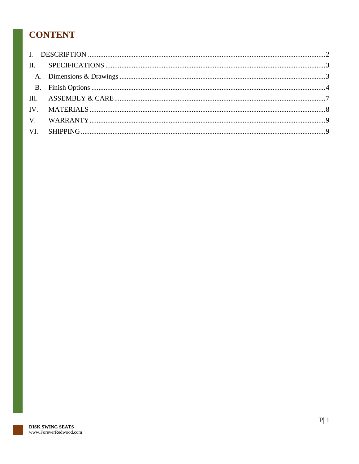## **CONTENT**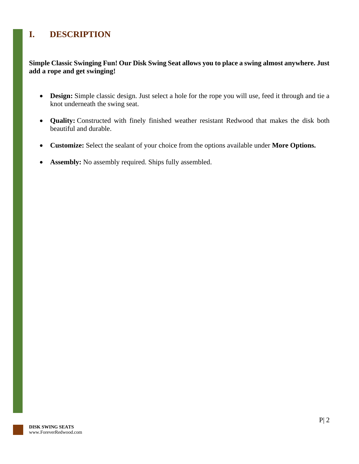### <span id="page-2-0"></span>**I. DESCRIPTION**

**Simple Classic Swinging Fun! Our Disk Swing Seat allows you to place a swing almost anywhere. Just add a rope and get swinging!**

- **Design:** Simple classic design. Just select a hole for the rope you will use, feed it through and tie a knot underneath the swing seat.
- **Quality:** Constructed with finely finished weather resistant Redwood that makes the disk both beautiful and durable.
- **Customize:** Select the sealant of your choice from the options available under **More Options.**
- **Assembly:** No assembly required. Ships fully assembled.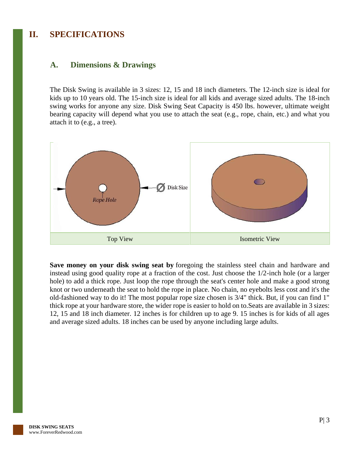### <span id="page-3-0"></span>**II. SPECIFICATIONS**

#### <span id="page-3-1"></span>**A. Dimensions & Drawings**

The Disk Swing is available in 3 sizes: 12, 15 and 18 inch diameters. The 12-inch size is ideal for kids up to 10 years old. The 15-inch size is ideal for all kids and average sized adults. The 18-inch swing works for anyone any size. Disk Swing Seat Capacity is 450 lbs. however, ultimate weight bearing capacity will depend what you use to attach the seat (e.g., rope, chain, etc.) and what you attach it to (e.g., a tree).



**Save money on your disk swing seat by** foregoing the stainless steel chain and hardware and instead using good quality rope at a fraction of the cost. Just choose the 1/2-inch hole (or a larger hole) to add a thick rope. Just loop the rope through the seat's center hole and make a good strong knot or two underneath the seat to hold the rope in place. No chain, no eyebolts less cost and it's the old-fashioned way to do it! The most popular rope size chosen is 3/4" thick. But, if you can find 1" thick rope at your hardware store, the wider rope is easier to hold on to.Seats are available in 3 sizes: 12, 15 and 18 inch diameter. 12 inches is for children up to age 9. 15 inches is for kids of all ages and average sized adults. 18 inches can be used by anyone including large adults.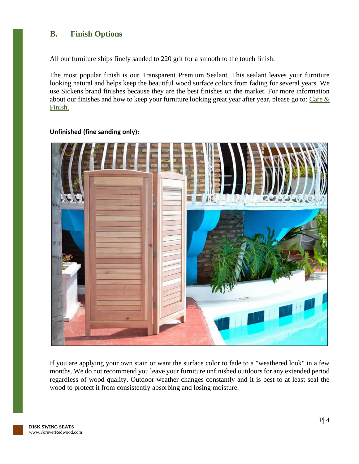### <span id="page-4-0"></span>**B. Finish Options**

All our furniture ships finely sanded to 220 grit for a smooth to the touch finish.

The most popular finish is our Transparent Premium Sealant. This sealant leaves your furniture looking natural and helps keep the beautiful wood surface colors from fading for several years. We use Sickens brand finishes because they are the best finishes on the market. For more information about our finishes and how to keep your furniture looking great year after year, please go to: Care  $\&$ [Finish.](https://www.foreverredwood.com/redwood-furniture/care-finish/)



#### **Unfinished (fine sanding only):**

If you are applying your own stain or want the surface color to fade to a "weathered look" in a few months. We do not recommend you leave your furniture unfinished outdoors for any extended period regardless of wood quality. Outdoor weather changes constantly and it is best to at least seal the wood to protect it from consistently absorbing and losing moisture.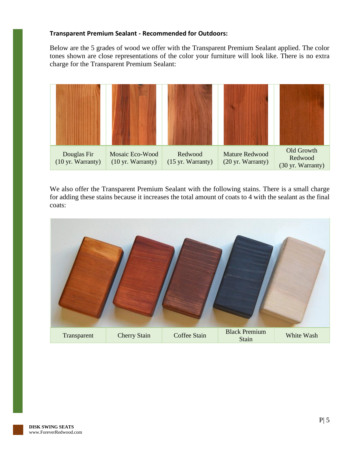#### **Transparent Premium Sealant - Recommended for Outdoors:**

Below are the 5 grades of wood we offer with the Transparent Premium Sealant applied. The color tones shown are close representations of the color your furniture will look like. There is no extra charge for the Transparent Premium Sealant:



We also offer the Transparent Premium Sealant with the following stains. There is a small charge for adding these stains because it increases the total amount of coats to 4 with the sealant as the final coats:

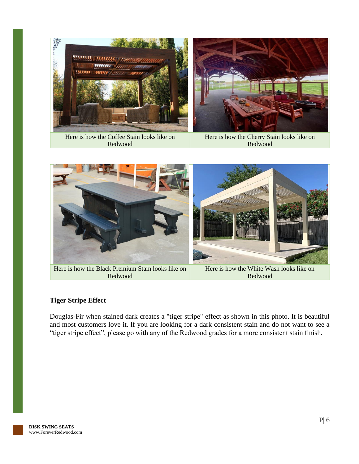

Here is how the Coffee Stain looks like on Redwood

Here is how the Cherry Stain looks like on Redwood



Here is how the Black Premium Stain looks like on Redwood

Here is how the White Wash looks like on Redwood

### **Tiger Stripe Effect**

Douglas-Fir when stained dark creates a "tiger stripe" effect as shown in this photo. It is beautiful and most customers love it. If you are looking for a dark consistent stain and do not want to see a "tiger stripe effect", please go with any of the Redwood grades for a more consistent stain finish.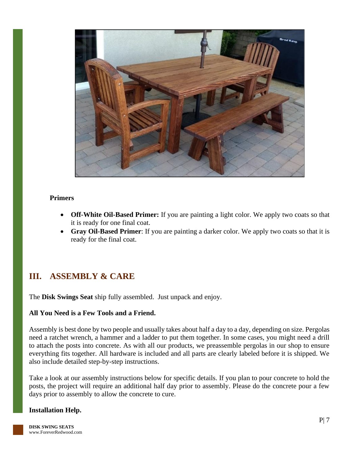

#### **Primers**

- **Off-White Oil-Based Primer:** If you are painting a light color. We apply two coats so that it is ready for one final coat.
- **Gray Oil-Based Primer**: If you are painting a darker color. We apply two coats so that it is ready for the final coat.

### <span id="page-7-0"></span>**III. ASSEMBLY & CARE**

The **Disk Swings Seat** ship fully assembled. Just unpack and enjoy.

#### **All You Need is a Few Tools and a Friend.**

Assembly is best done by two people and usually takes about half a day to a day, depending on size. Pergolas need a ratchet wrench, a hammer and a ladder to put them together. In some cases, you might need a drill to attach the posts into concrete. As with all our products, we preassemble pergolas in our shop to ensure everything fits together. All hardware is included and all parts are clearly labeled before it is shipped. We also include detailed step-by-step instructions.

Take a look at our assembly instructions below for specific details. If you plan to pour concrete to hold the posts, the project will require an additional half day prior to assembly. Please do the concrete pour a few days prior to assembly to allow the concrete to cure.

#### **Installation Help.**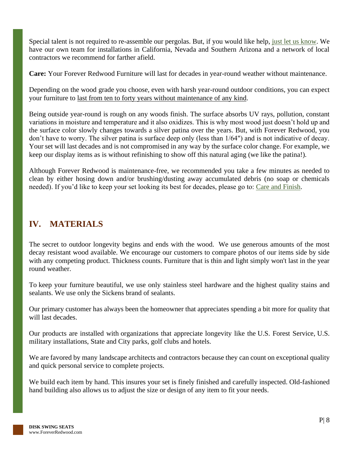Special talent is not required to re-assemble our pergolas. But, if you would like help, [just let us know.](https://www.foreverredwood.com/information/contact) We have our own team for installations in California, Nevada and Southern Arizona and a network of local contractors we recommend for farther afield.

**Care:** Your Forever Redwood Furniture will last for decades in year-round weather without maintenance.

Depending on the wood grade you choose, even with harsh year-round outdoor conditions, you can expect your furniture to last from ten to forty years without maintenance of any kind.

Being outside year-round is rough on any woods finish. The surface absorbs UV rays, pollution, constant variations in moisture and temperature and it also oxidizes. This is why most wood just doesn't hold up and the surface color slowly changes towards a silver patina over the years. But, with Forever Redwood, you don't have to worry. The silver patina is surface deep only (less than 1/64") and is not indicative of decay. Your set will last decades and is not compromised in any way by the surface color change. For example, we keep our display items as is without refinishing to show off this natural aging (we like the patina!).

Although Forever Redwood is maintenance-free, we recommended you take a few minutes as needed to clean by either hosing down and/or brushing/dusting away accumulated debris (no soap or chemicals needed). If you'd like to keep your set looking its best for decades, please go to: [Care and Finish.](https://www.foreverredwood.com/redwood-furniture/care-finish)

### <span id="page-8-0"></span>**IV. MATERIALS**

The secret to outdoor longevity begins and ends with the wood. We use generous amounts of the most decay resistant wood available. We encourage our customers to compare photos of our items side by side with any competing product. Thickness counts. Furniture that is thin and light simply won't last in the year round weather.

To keep your furniture beautiful, we use only stainless steel hardware and the highest quality stains and sealants. We use only the Sickens brand of sealants.

Our primary customer has always been the homeowner that appreciates spending a bit more for quality that will last decades.

Our products are installed with organizations that appreciate longevity like the U.S. Forest Service, U.S. military installations, State and City parks, golf clubs and hotels.

We are favored by many landscape architects and contractors because they can count on exceptional quality and quick personal service to complete projects.

We build each item by hand. This insures your set is finely finished and carefully inspected. Old-fashioned hand building also allows us to adjust the size or design of any item to fit your needs.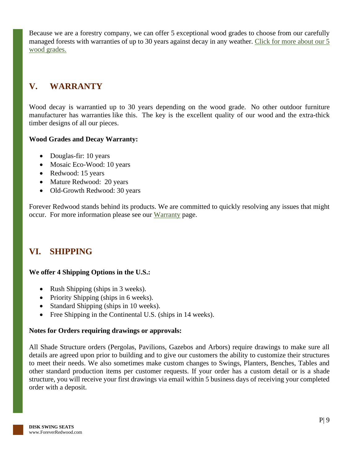Because we are a forestry company, we can offer 5 exceptional wood grades to choose from our carefully managed forests with warranties of up to 30 years against decay in any weather. [Click for more about our 5](https://www.foreverredwood.com/redwood-furniture/wood-grade/)  [wood grades.](https://www.foreverredwood.com/redwood-furniture/wood-grade/)

### <span id="page-9-0"></span>**V. WARRANTY**

Wood decay is warrantied up to 30 years depending on the wood grade. No other outdoor furniture manufacturer has warranties like this. The key is the excellent quality of our wood and the extra-thick timber designs of all our pieces.

### **Wood Grades and Decay Warranty:**

- Douglas-fir: 10 years
- Mosaic Eco-Wood: 10 years
- Redwood: 15 years
- Mature Redwood: 20 years
- Old-Growth Redwood: 30 years

Forever Redwood stands behind its products. We are committed to quickly resolving any issues that might occur. For more information please see our [Warranty](https://www.foreverredwood.com/redwood-furniture/warranty) page.

### <span id="page-9-1"></span>**VI. SHIPPING**

### **We offer 4 Shipping Options in the U.S.:**

- Rush Shipping (ships in 3 weeks).
- Priority Shipping (ships in 6 weeks).
- Standard Shipping (ships in 10 weeks).
- Free Shipping in the Continental U.S. (ships in 14 weeks).

### **Notes for Orders requiring drawings or approvals:**

All Shade Structure orders (Pergolas, Pavilions, Gazebos and Arbors) require drawings to make sure all details are agreed upon prior to building and to give our customers the ability to customize their structures to meet their needs. We also sometimes make custom changes to Swings, Planters, Benches, Tables and other standard production items per customer requests. If your order has a custom detail or is a shade structure, you will receive your first drawings via email within 5 business days of receiving your completed order with a deposit.